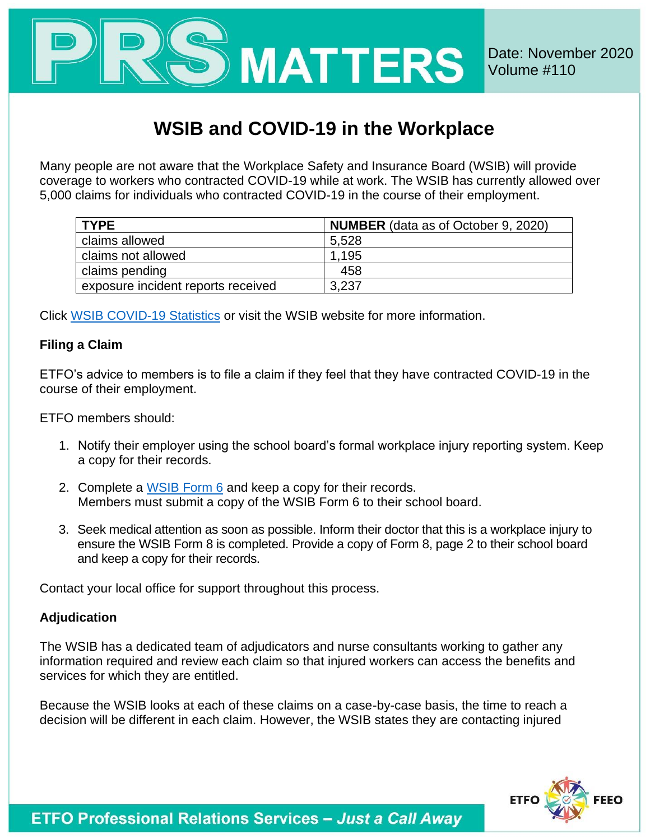

## **WSIB and COVID-19 in the Workplace**

Many people are not aware that the Workplace Safety and Insurance Board (WSIB) will provide coverage to workers who contracted COVID-19 while at work. The WSIB has currently allowed over 5,000 claims for individuals who contracted COVID-19 in the course of their employment.

| <b>TYPE</b>                        | <b>NUMBER</b> (data as of October 9, 2020) |
|------------------------------------|--------------------------------------------|
| claims allowed                     | 5,528                                      |
| claims not allowed                 | 1.195                                      |
| claims pending                     | 458                                        |
| exposure incident reports received | 3,237                                      |

Click [WSIB COVID-19 Statistics](https://www.wsib.ca/en/search?search=claim%20statistics%20related%20to%20COVID-19) or visit the WSIB website for more information.

## **Filing a Claim**

ETFO's advice to members is to file a claim if they feel that they have contracted COVID-19 in the course of their employment.

ETFO members should:

- 1. Notify their employer using the school board's formal workplace injury reporting system. Keep a copy for their records.
- 2. Complete a [WSIB Form 6](https://eservices.wsib.on.ca/portal/server.pt/community/eform_6/209) and keep a copy for their records. Members must submit a copy of the WSIB Form 6 to their school board.
- 3. Seek medical attention as soon as possible. Inform their doctor that this is a workplace injury to ensure the WSIB Form 8 is completed. Provide a copy of Form 8, page 2 to their school board and keep a copy for their records.

Contact your local office for support throughout this process.

## **Adjudication**

The WSIB has a dedicated team of adjudicators and nurse consultants working to gather any information required and review each claim so that injured workers can access the benefits and services for which they are entitled.

Because the WSIB looks at each of these claims on a case-by-case basis, the time to reach a decision will be different in each claim. However, the WSIB states they are contacting injured



**ETFO Professional Relations Services - Just a Call Away**